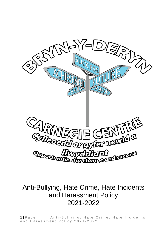

# Anti-Bullying, Hate Crime, Hate Incidents and Harassment Policy 2021-2022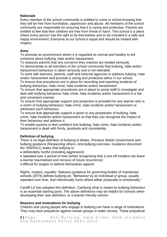# **Rationale**

Every member of the school community is entitled to come to school knowing that they will be free from humiliation, oppression and abuse. All members of the school community are responsible for ensuring that it is caring and protective. Parents are entitled to feel that their children are free from threat or harm. This school is a place where every person has the right to be themselves and to be included in a safe and happy environment. Everyone at our school is equal and should be treated with respect.

## **Aims**

To promote an environment where it is regarded as normal and healthy to tell someone about bullying, hate and/or harassment.

To reassure parents that any concerns they express are treated seriously.

To demonstrate to all members of the school community that bullying, hate and/or harassment behaviour is taken seriously and is not tolerated.

To work with learners, parents, staff and external agencies to address bullying, hate and/or harassment and promote a caring and protective ethos in our school.

To ensure that procedures are in place for recording and reporting incidents of bullying behaviour, hate crime, hate incidents and/or harassment.

To ensure that appropriate procedures are in place to assist staff to investigate and deal with bullying behaviour hate crime, hate incidents and/or harassment in a fair and consistent manner.

To ensure that appropriate support and protection is provided for any learner who is a victim of bullying behaviour, hate crime, hate incidents and/or harassment or witnesses such behaviour.

To ensure that appropriate support is given to any perpetrator of bullying, hate crime, hate incidents and/or harassment so that they can recognise the impact of their behaviour and address it.

To enable parents to feel confident that bullying, hate crime, hate incidents and/or harassment is dealt with firmly, positively and consistently.

# **Definition of bullying**

There is no legal definition of bullying in Wales. Previous Welsh Government antibullying guidance (Respecting others: Anti-bullying overview, Guidance document No: 050/2011) states that bullying is:

• deliberately hurtful (including aggression)

- repeated over a period of time (whilst recognising that a one-off incident can leave a learner traumatised and nervous of future recurrence)
- difficult for targets to defend themselves against.

Rights, respect, equality: Statutory guidance for governing bodies of maintained schools (2019) defines bullying as: "Behaviour by an individual or group, usually repeated over time, that intentionally hurts others either physically or emotionally."

Cardiff LA has adopted this definition. Clarifying what is meant by bullying behaviour is an essential starting point. The above definitions may be helpful for schools when developing their own definition, or a learner-friendly version.

# **Reasons and motivations for bullying**

Children and young people who engage in bullying can have a range of motivations. They may have prejudices against certain groups in wider society. These prejudicial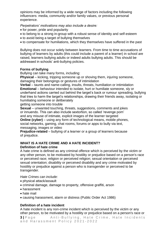opinions may be informed by a wide range of factors including the following influencers: media, community and/or family values, or previous personal experience.

*Perpetrators' motivations may also include a desire:*

- for power, pride and popularity
- to belong to a strong in-group with a robust sense of identity and self-esteem
- to avoid being a target of bullying themselves
- to compensate for humiliations, which they themselves have suffered in the past

Bullying does not occur solely between learners. From time to time accusations of bullying of learners by adults (this could include a parent of a learner) in school are raised, learners bullying adults or indeed adults bullying adults. This should be addressed in schools' anti-bullying policies.

#### **Forms of bullying**

Bullying can take many forms, including:

**Physical** – kicking, tripping someone up or shoving them, injuring someone, damaging their belongings or gestures of intimidation

**Verbal** – taunts and name-calling, insults, threats, humiliation or intimidation **Emotional** – behaviour intended to isolate, hurt or humiliate someone, sly or underhand actions carried out behind the target's back or rumour spreading, bullying that tries to harm the target's relationships, drawing their friends away, isolating or humiliating someone or deliberately

getting someone into trouble

**Sexual** – unwanted touching, threats, suggestions, comments and jokes or innuendo. This can also include sextortion, so called 'revenge porn' and any misuse of intimate, explicit images of the learner targeted

**Online (cyber)** – using any form of technological means, mobile phones, social networks, gaming, chat rooms, forums or apps to bully via text, messaging, images or video

**Prejudice-related** – bullying of a learner or a group of learners because of prejudice.

## **WHAT IS A HATE CRIME AND A HATE INCIDENT? Definition of hate crime**

A hate crime is defined as any criminal offence which is perceived by the victim or any other person, to be motivated by hostility or prejudice based on a person's race or perceived race; religion or perceived religion; sexual orientation or perceived sexual orientation; disability or perceived disability and any crime motivated by hostility or prejudice against a person who is transgender or perceived to be transgender.

*Hate Crimes can include:*

- physical attack/assault
- criminal damage, damage to property, offensive graffiti, arson
- harassment
- hate mail
- causing harassment, alarm or distress (Public Order Act 1986)

# **Definition of a hate incident**

A hate incident is any non-crime incident which is perceived by the victim or any other person, to be motivated by a hostility or prejudice based on a person's race or

**3** | Page Anti-Bullying, Hate Crime, Hate Incidents and Harassment Policy 2021-2022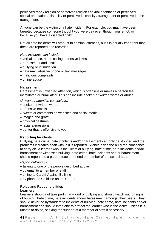perceived race / religion or perceived religion / sexual orientation or perceived sexual orientation / disability or perceived disability / transgender or perceived to be transgender.

Anyone can be the victim of a hate incident. For example, you may have been targeted because someone thought you were gay even though you're not, or because you have a disabled child.

Not all hate incidents will amount to criminal offences, but it is equally important that these are reported and recorded.

*Hate incidents can include:* 

- verbal abuse, name calling, offensive jokes
- harassment and insults
- bullying or intimidation
- hate mail, abusive phone or text messages
- malicious complaints
- online abuse

#### **Harassment**

Harassment is unwanted attention, which is offensive or makes a person feel intimidated or humiliated. This can include spoken or written words or abuse.

*Unwanted attention can include:*

- spoken or written words
- offensive emails
- tweets or comments on websites and social media
- images and graffiti
- physical gestures
- facial expressions
- banter that is offensive to you

#### **Reporting Incidents**

Bullying, hate crime, hate incidents and/or harassment can only be stopped and the problems it creates dealt with, if it is reported. Silence gives the bully the confidence to carry on. A learner who is the victim of bullying, hate crime, hate incidents and/or harassment or witnesses bullying, hate crime, hate incidents and/or harassment should report it to a parent, teacher, friend or member of the school staff.

#### *Report bullying by:*

- talking to one of the people described above
- by email to a member of staff
- online to Cardiff Against Bullying
- by phone to Childline on 0800 1111

#### **Roles and Responsibilities Learners**

Learners should not take part in any kind of bullying and should watch out for signs of bullying, hate crime, hate incidents and/or harassment amongst their peers. They should never be bystanders to incidents of bullying, hate crime, hate incidents and/or harassment and should intervene to protect the learner who is the victim, unless it is unsafe to do so, seeking the support of a member of staff if necessary.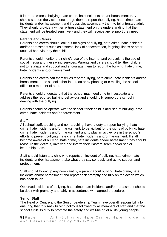If learners witness bullying, hate crime, hate incidents and/or harassment they should support the victim, encourage them to report the bullying, hate crime, hate incidents and/or harassment and if possible, accompany them to tell a trusted adult. They should provide a written witness statement on the understanding that their statement will be treated sensitively and they will receive any support they need.

#### **Parents and Carers**

Parents and carers should look out for signs of bullying, hate crime, hate incidents and/or harassment such as distress, lack of concentration, feigning illness or other unusual behaviour by their child.

Parents should monitor their child's use of the internet and particularly the use of social media and messaging services. Parents and carers should tell their children not to retaliate and support and encourage them to report the bullying, hate crime, hate incidents and/or harassment.

Parents and carers can themselves report bullying, hate crime, hate incidents and/or harassment to the school either in person or by phoning or e mailing the school office or a member of staff.

Parents should understand that the school may need time to investigate and address the reported bullying behaviour and should fully support the school in dealing with the bullying.

Parents should co-operate with the school if their child is accused of bullying, hate crime, hate incidents and/or harassment.

#### **Staff**

All school staff, teaching and non-teaching, have a duty to report bullying, hate crime, hate incidents and/or harassment, to be vigilant for the signs of bullying, hate crime, hate incidents and/or harassment and to play an active role in the school's efforts to prevent bullying, hate crime, hate incidents and/or harassment. If staff become aware of bullying, hate crime, hate incidents and/or harassment they should reassure the victim(s) involved and inform their Pastoral team and/or senior leadership team.

Staff should listen to a child who reports an incident of bullying, hate crime, hate incidents and/or harassment take what they say seriously and act to support and protect them.

Staff should follow up any complaint by a parent about bullying, hate crime, hate incidents and/or harassment and report back promptly and fully on the action which has been taken.

Observed incidents of bullying, hate crime, hate incidents and/or harassment should be dealt with promptly and fairly in accordance with agreed procedures.

#### **Senior Staff**

The Head of Centre and the Senior Leadership Team have overall responsibility for ensuring that this Anti-Bullying policy is followed by all members of staff and that the school fulfils its duty to promote the safety and well-being of all its young people.

**5** | Page Anti-Bullying, Hate Crime, Hate Incidents and Harassment Policy 2021-2022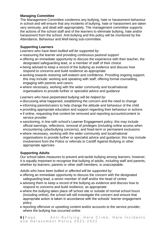# **Managing Committee**

The Management Committee condemns any bullying, hate or harassment behaviour in school and will ensure that any incidents of bullying, hate or harassment are taken very seriously, and dealt with appropriately. The management committee supports the actions of the school staff and of the learners to eliminate bullying, hate and/or harassment from the school. Anti-bullying and this policy will be monitored by the Attendance, Behaviour and Well-being sub-committee.

# **Supporting Learners**

*Learners who have been bullied will be supported by:*

- reassuring the learner and providing continuous pastoral support
- offering an immediate opportunity to discuss the experience with their teacher, the designated safeguarding lead, or a member of staff of their choice
- being advised to keep a record of the bullying as evidence and discuss how respond to concerns and build resilience as appropriate
- working towards restoring self-esteem and confidence. Providing ongoing support; this may include: working and speaking with staff, offering formal counselling, engaging with parents and carers
- where necessary, working with the wider community and local/national organisations to provide further or specialist advice and guidance

*Learners who have perpetrated bullying will be helped by:* 

- discussing what happened, establishing the concern and the need to change
- informing parents/carers to help change the attitude and behaviour of the child
- providing appropriate education and support regarding their behaviour or actions
- if online, requesting that content be removed and reporting accounts/content to service provider
- sanctioning, in line with school's Learner Engagement policy; this may include official warnings, reflections, removal of privileges (including online access when encountering cyberbullying concerns), and fixed-term or permanent exclusions
- where necessary, working with the wider community and local/national organisations to provide further or specialist advice and guidance; this may include involvement from the Police or referrals to Cardiff Against Bullying or other appropriate agencies

# **Supporting Adults**

Our school takes measures to prevent and tackle bullying among learners; however, it is equally important to recognise that bullying of adults, including staff and parents, whether by learners, parents or other staff members, is unacceptable.

*Adults who have been bullied or affected will be supported by:*

- offering an immediate opportunity to discuss the concern with the designated safeguarding lead, a senior member of staff and/or the head of centre
- advising them to keep a record of the bullying as evidence and discuss how to respond to concerns and build resilience, as appropriate
- where the bullying takes place off school site or outside of normal school hours (including online), the school will still investigate the concern and ensure that appropriate action is taken in accordance with the schools' learner engagement policy
- reporting offensive or upsetting content and/or accounts to the service provider, where the bullying has occurred online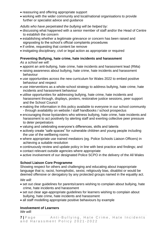- reassuring and offering appropriate support
- working with the wider community and local/national organisations to provide further or specialist advice and guidance

## *Adults who have perpetrated the bullying will be helped by:*

- discussing what happened with a senior member of staff and/or the Head of Centre to establish the concern
- establishing whether a legitimate grievance or concern has been raised and signposting to the school's official complaints procedures
- if online, requesting that content be remove
- instigating disciplinary, civil or legal action as appropriate or required

# **Preventing Bullying, hate crime, hate incidents and harassment**

*As a school we will:* 

- appoint an anti-bullying, hate crime, hate incidents and harassment lead (RMa)
- raising awareness about bullying, hate crime, hate incidents and harassment behaviour
- use opportunities across the new curriculum for Wales 2022 to embed positive behaviour and respect
- use interventions as a whole-school strategy to address bullying, hate crime, hate incidents and harassment behaviour
- utilise opportunities for addressing bullying, hate crime, hate incidents and harassment through, displays, posters, restorative justice sessions, peer support and the School Council
- making the information in this policy available to everyone in our school community - through availability on website / staff handbooks / school prospectus
- encouraging those bystanders who witness bullying, hate crime, hate incidents and harassment to act positively by alerting staff and exerting collective peer pressure to deter perpetrators
- valuing and celebrating everyone's differences, skills and talents
- actively create "safe spaces" for vulnerable children and young people including the use of the wellbeing rooms
- where appropriate use trained mediators (eg. Police Schools Liaison Officers) in achieving a suitable resolution
- continuously review and update policy in line with best practice and findings; and
- contact relevant outside agencies where appropriate
- active involvement of our designated Police SCPO in the delivery of the All Wales

# **School Liaison Core Programme**

Showing respect for others and challenging and educating about inappropriate language that is; racist, homophobic, sexist, religiously bias, disablist or would be deemed offensive or derogatory by any protected groups named in the equality act.

#### *We will:*

- set out clear guidelines for parents/carers wishing to complain about bullying, hate crime, hate incidents and harassment
- set out clear age-appropriate guidelines for learners wishing to complain about bullying, hate crime, hate incidents and harassment
- all staff modelling appropriate positive behaviours by example

# **Involvement of Learners**

*We will:* 

```
7 | Page Anti-Bullying, Hate Crime, Hate Incidents
and Harassment Policy 2021-2022
```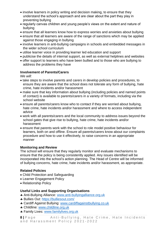- involve learners in policy writing and decision making, to ensure that they understand the school's approach and are clear about the part they play in preventing bullying
- regularly canvas children and young people's views on the extent and nature of bullying
- ensure that all learners know how to express worries and anxieties about bullying
- ensure that all learners are aware of the range of sanctions which may be applied against those engaging in bullying
- involve learners in anti-bullying campaigns in schools and embedded messages in the wider school curriculum
- utilise learner voice in providing learner led education and support
- publicise the details of internal support, as well as external helplines and websites
- offer support to learners who have been bullied and to those who are bullying to address the problems they have

# **Involvement of Parents/Carers**

*We will:* 

- take steps to involve parents and carers in develop policies and procedures, to ensure they are aware that the school does not tolerate any form of bullying, hate crime, hate incidents and/or harassment
- make sure that key information about bullying (including policies and named points of contact) is available to parents/carers in a variety of formats, including via the school website
- ensure all parents/carers know who to contact if they are worried about bullying, hate crime, hate incidents and/or harassment and where to access independent advice
- work with all parents/carers and the local community to address issues beyond the school gates that give rise to bullying, hate crime, hate incidents and/or harassment
- ensure that parents work with the school to role model positive behaviour for learners, both on and offline. Ensure all parents/carers know about our complaints procedure and how to use it effectively, to raise concerns in an appropriate manner

# **Monitoring and Review**

The school will ensure that they regularly monitor and evaluate mechanisms to ensure that the policy is being consistently applied. Any issues identified will be incorporated into the school's action planning. The Head of Centre will be informed of bullying concerns, hate crime, hate incidents and/or harassment, as appropriate.

# **Related Policies**

- Child Protection and Safeguarding
- Learner Engagement Policy
- Relationship Policy

# **Useful Links and Supporting Organisations**

- Anti-Bullying Alliance: [www.anti-bullyingalliance.org.uk](http://www.anti-bullyingalliance.org.uk/)
- Bullies Out:<https://bulliesout.com/>
- Cardiff Against Bullying: [www.cardiffagainstbullying.co.uk](http://www.cardiffagainstbullying.co.uk/)
- Childline: [www.childline.org.uk](http://www.childline.org.uk/)
- **\* Family Lives: [www.familylives.org.uk](http://www.familylives.org.uk/)**

**8** | Page Anti-Bullying, Hate Crime, Hate Incidents and Harassment Policy 2021-2022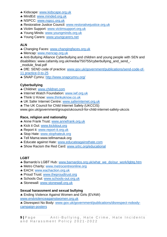- Kidscape: [www.kidscape.org.uk](http://www.kidscape.org.uk/)
- **\* MindEd: [www.minded.org.uk](http://www.minded.org.uk/)**
- **\* NSPCC: [www.nspcc.org.uk](http://www.nspcc.org.uk/)**
- \* Restorative Justice Council: [www.restorativejustice.org.uk](http://www.restorativejustice.org.uk/)
- Victim Support: [www.victimsupport.org.uk](http://www.victimsupport.org.uk/)
- Young Minds: [www.youngminds.org.uk](http://www.youngminds.org.uk/)
- **\*** Young Carers: [www.youngcarers.net](http://www.youngcarers.net/)

# **ALN**

- Changing Faces: [www.changingfaces.org.uk](http://www.changingfaces.org.uk/)
- \* Mencap: [www.mencap.org.uk](http://www.mencap.org.uk/)
- Anti-Bullying Alliance Cyberbullying and children and young people with SEN and disabilities: www.cafamily.org.uk/media/750755/cyberbullying\_and\_send\_-
- \_module\_final.pdf
- DfE: SEND code of practice: [www.gov.uk/government/publications/send-code-of-](http://www.gov.uk/government/publications/send-code-of-%2011%20practice-0-to-25)[11 practice-0-to-25](http://www.gov.uk/government/publications/send-code-of-%2011%20practice-0-to-25)
- SNAP Cymru:<http://www.snapcymru.org/>

# **Cyberbullying**

- Childnet: [www.childnet.com](http://www.childnet.com/)
- **\* Internet Watch Foundation: [www.iwf.org.uk](http://www.iwf.org.uk/)**
- **\* Think U Know: [www.thinkuknow.co.uk](http://www.thinkuknow.co.uk/)**
- UK Safer Internet Centre: [www.saferinternet.org.uk](http://www.saferinternet.org.uk/)
- **\*** The UK Council for Child Internet Safety (UKCCIS)

www.gov.uk/government/groups/ukcouncil-for-child-internet-safety-ukccis

# **Race, religion and nationality**

- **Anne Frank Trust: [www.annefrank.org.uk](http://www.annefrank.org.uk/)**
- **\* Kick it Out: [www.kickitout.org](http://www.kickitout.org/)**
- \* Report it: [www.report-it.org.uk](http://www.report-it.org.uk/)
- \* Stop Hate: [www.stophateuk.org](http://www.stophateuk.org/)
- **\*** Tell Mama:www.tellmamauk.org
- **\* Educate against Hate: [www.educateagainsthate.com](http://www.educateagainsthate.com/)**
- \* Show Racism the Red Card: [www.srtrc.org/educational](http://www.srtrc.org/educational)

# **LGBT**

- **Barnardo's LGBT Hub: www.barnardos.org.uk/what\_we\_do/our\_work/lgbtg.htm**
- **\* Metro Charity: [www.metrocentreonline.org](http://www.metrocentreonline.org/)**
- **\* EACH: [www.eachaction.org.uk](http://www.eachaction.org.uk/)**
- **\* Proud Trust: [www.theproudtrust.org](http://www.theproudtrust.org/)**
- **\* Schools Out: [www.schools-out.org.uk](http://www.schools-out.org.uk/)**
- Stonewall: [www.stonewall.org.uk](http://www.stonewall.org.uk/)

# **Sexual harassment and sexual bullying**

 Ending Violence Against Women and Girls (EVAW) [www.endviolenceagainstwomen.org.uk](http://www.endviolenceagainstwomen.org.uk/)

 Disrespect No Body: [www.gov.uk/government/publications/disrespect-nobody](http://www.gov.uk/government/publications/disrespect-nobody-campaign-posters)[campaign-posters](http://www.gov.uk/government/publications/disrespect-nobody-campaign-posters)